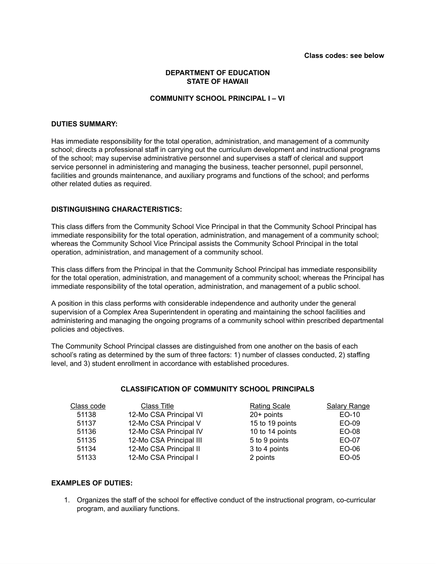# **DEPARTMENT OF EDUCATION STATE OF HAWAII**

# **COMMUNITY SCHOOL PRINCIPAL I – VI**

### **DUTIES SUMMARY:**

Has immediate responsibility for the total operation, administration, and management of a community school; directs a professional staff in carrying out the curriculum development and instructional programs of the school; may supervise administrative personnel and supervises a staff of clerical and support service personnel in administering and managing the business, teacher personnel, pupil personnel, facilities and grounds maintenance, and auxiliary programs and functions of the school; and performs other related duties as required.

#### **DISTINGUISHING CHARACTERISTICS:**

This class differs from the Community School Vice Principal in that the Community School Principal has immediate responsibility for the total operation, administration, and management of a community school; whereas the Community School Vice Principal assists the Community School Principal in the total operation, administration, and management of a community school.

This class differs from the Principal in that the Community School Principal has immediate responsibility for the total operation, administration, and management of a community school; whereas the Principal has immediate responsibility of the total operation, administration, and management of a public school.

A position in this class performs with considerable independence and authority under the general supervision of a Complex Area Superintendent in operating and maintaining the school facilities and administering and managing the ongoing programs of a community school within prescribed departmental policies and objectives.

The Community School Principal classes are distinguished from one another on the basis of each school's rating as determined by the sum of three factors: 1) number of classes conducted, 2) staffing level, and 3) student enrollment in accordance with established procedures.

#### **CLASSIFICATION OF COMMUNITY SCHOOL PRINCIPALS**

| Class code | Class Title             | <b>Rating Scale</b> | <b>Salary Range</b> |
|------------|-------------------------|---------------------|---------------------|
| 51138      | 12-Mo CSA Principal VI  | $20+$ points        | EO-10               |
| 51137      | 12-Mo CSA Principal V   | 15 to 19 points     | EO-09               |
| 51136      | 12-Mo CSA Principal IV  | 10 to 14 points     | EO-08               |
| 51135      | 12-Mo CSA Principal III | 5 to 9 points       | EO-07               |
| 51134      | 12-Mo CSA Principal II  | 3 to 4 points       | EO-06               |
| 51133      | 12-Mo CSA Principal I   | 2 points            | EO-05               |

### **EXAMPLES OF DUTIES:**

1. Organizes the staff of the school for effective conduct of the instructional program, co-curricular program, and auxiliary functions.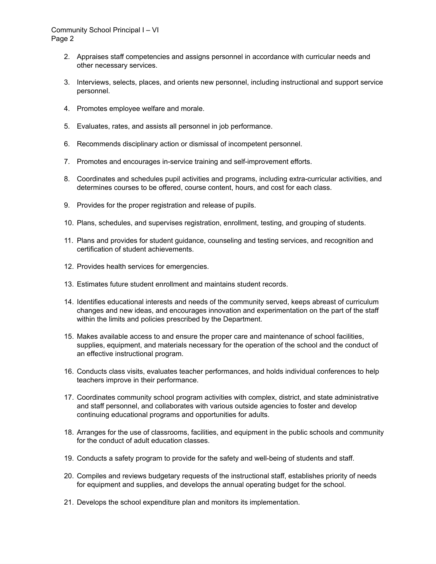## Community School Principal I – VI Page 2

- 2. Appraises staff competencies and assigns personnel in accordance with curricular needs and other necessary services.
- 3. Interviews, selects, places, and orients new personnel, including instructional and support service personnel.
- 4. Promotes employee welfare and morale.
- 5. Evaluates, rates, and assists all personnel in job performance.
- 6. Recommends disciplinary action or dismissal of incompetent personnel.
- 7. Promotes and encourages in-service training and self-improvement efforts.
- 8. Coordinates and schedules pupil activities and programs, including extra-curricular activities, and determines courses to be offered, course content, hours, and cost for each class.
- 9. Provides for the proper registration and release of pupils.
- 10. Plans, schedules, and supervises registration, enrollment, testing, and grouping of students.
- 11. Plans and provides for student guidance, counseling and testing services, and recognition and certification of student achievements.
- 12. Provides health services for emergencies.
- 13. Estimates future student enrollment and maintains student records.
- 14. Identifies educational interests and needs of the community served, keeps abreast of curriculum changes and new ideas, and encourages innovation and experimentation on the part of the staff within the limits and policies prescribed by the Department.
- 15. Makes available access to and ensure the proper care and maintenance of school facilities, supplies, equipment, and materials necessary for the operation of the school and the conduct of an effective instructional program.
- 16. Conducts class visits, evaluates teacher performances, and holds individual conferences to help teachers improve in their performance.
- 17. Coordinates community school program activities with complex, district, and state administrative and staff personnel, and collaborates with various outside agencies to foster and develop continuing educational programs and opportunities for adults.
- 18. Arranges for the use of classrooms, facilities, and equipment in the public schools and community for the conduct of adult education classes.
- 19. Conducts a safety program to provide for the safety and well-being of students and staff.
- 20. Compiles and reviews budgetary requests of the instructional staff, establishes priority of needs for equipment and supplies, and develops the annual operating budget for the school.
- 21. Develops the school expenditure plan and monitors its implementation.